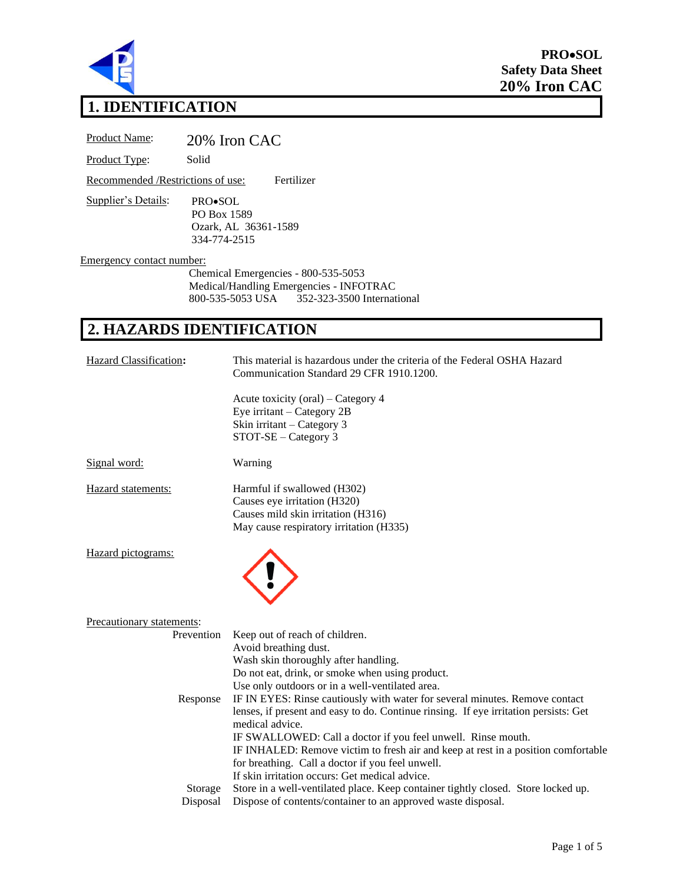

**PRO**•**SOL Safety Data Sheet 20% Iron CAC**

#### **1. IDENTIFICATION**

Product Name: 20% Iron CAC Product Type: Solid Recommended /Restrictions of use: Fertilizer Supplier's Details: PRO•SOL PO Box 1589 Ozark, AL 36361-1589 334-774-2515 Emergency contact number:

Chemical Emergencies - 800-535-5053 Medical/Handling Emergencies - INFOTRAC<br>800-535-5053 USA 352-323-3500 Internat 352-323-3500 International

# **2. HAZARDS IDENTIFICATION**

| <b>Hazard Classification:</b> | This material is hazardous under the criteria of the Federal OSHA Hazard<br>Communication Standard 29 CFR 1910.1200.                         |
|-------------------------------|----------------------------------------------------------------------------------------------------------------------------------------------|
|                               | Acute toxicity (oral) – Category 4<br>Eye irritant - Category 2B<br>Skin irritant - Category 3<br>STOT-SE - Category 3                       |
| Signal word:                  | Warning                                                                                                                                      |
| Hazard statements:            | Harmful if swallowed (H302)<br>Causes eye irritation (H320)<br>Causes mild skin irritation (H316)<br>May cause respiratory irritation (H335) |
| Hazard pictograms:            |                                                                                                                                              |
| Precautionary statements:     |                                                                                                                                              |
| Prevention                    | Keep out of reach of children.                                                                                                               |
|                               | Avoid breathing dust.                                                                                                                        |
|                               | Wash skin thoroughly after handling.                                                                                                         |
|                               | Do not eat, drink, or smoke when using product.                                                                                              |
|                               | Use only outdoors or in a well-ventilated area.                                                                                              |
| Response                      | IF IN EYES: Rinse cautiously with water for several minutes. Remove contact                                                                  |
|                               | lenses, if present and easy to do. Continue ringing. If eye irritation persists: Get<br>medical advice.                                      |
|                               | IF SWALLOWED: Call a doctor if you feel unwell. Rinse mouth.                                                                                 |
|                               | IF INHALED: Remove victim to fresh air and keep at rest in a position comfortable                                                            |
|                               | for breathing. Call a doctor if you feel unwell.                                                                                             |
|                               | If skin irritation occurs: Get medical advice.                                                                                               |
| Storage                       | Store in a well-ventilated place. Keep container tightly closed. Store locked up.                                                            |
| Disposal                      | Dispose of contents/container to an approved waste disposal.                                                                                 |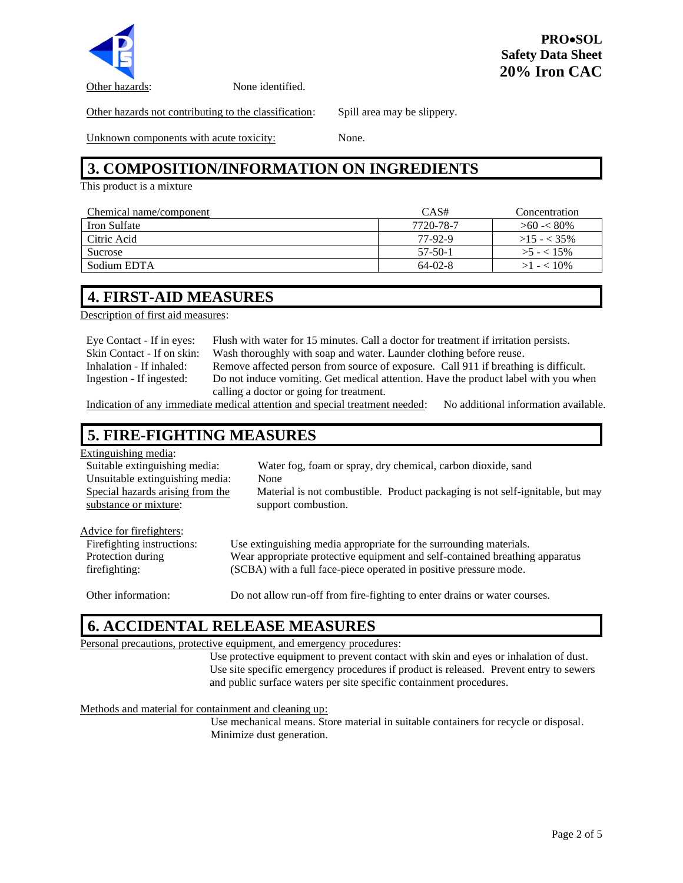

Other hazards: None identified.

Other hazards not contributing to the classification: Spill area may be slippery.

Unknown components with acute toxicity: None.

## **3. COMPOSITION/INFORMATION ON INGREDIENTS**

This product is a mixture

| Chemical name/component | CAS#      | Concentration  |
|-------------------------|-----------|----------------|
| <b>Iron Sulfate</b>     | 7720-78-7 | $>60 \lt 80\%$ |
| Citric Acid             | 77-92-9   | $>15 - < 35\%$ |
| <b>Sucrose</b>          | $57-50-1$ | $>5 - 15\%$    |
| Sodium EDTA             | $64-02-8$ | $>1 - 10\%$    |

#### **4. FIRST-AID MEASURES**

Description of first aid measures:

| Eye Contact - If in eyes:  | Flush with water for 15 minutes. Call a doctor for treatment if irritation persists. |
|----------------------------|--------------------------------------------------------------------------------------|
| Skin Contact - If on skin: | Wash thoroughly with soap and water. Launder clothing before reuse.                  |
| Inhalation - If inhaled:   | Remove affected person from source of exposure. Call 911 if breathing is difficult.  |
| Ingestion - If ingested:   | Do not induce vomiting. Get medical attention. Have the product label with you when  |
|                            | calling a doctor or going for treatment.                                             |
|                            |                                                                                      |

Indication of any immediate medical attention and special treatment needed: No additional information available.

#### **5. FIRE-FIGHTING MEASURES**

#### Extinguishing media: Suitable extinguishing media: Water fog, foam or spray, dry chemical, carbon dioxide, sand Unsuitable extinguishing media: None Special hazards arising from the substance or mixture: Material is not combustible. Product packaging is not self-ignitable, but may support combustion. Advice for firefighters: Firefighting instructions: Use extinguishing media appropriate for the surrounding materials. Protection during firefighting: Wear appropriate protective equipment and self-contained breathing apparatus (SCBA) with a full face-piece operated in positive pressure mode.

Other information: Do not allow run-off from fire-fighting to enter drains or water courses.

### **6. ACCIDENTAL RELEASE MEASURES**

#### Personal precautions, protective equipment, and emergency procedures:

Use protective equipment to prevent contact with skin and eyes or inhalation of dust. Use site specific emergency procedures if product is released. Prevent entry to sewers and public surface waters per site specific containment procedures.

Methods and material for containment and cleaning up:

Use mechanical means. Store material in suitable containers for recycle or disposal. Minimize dust generation.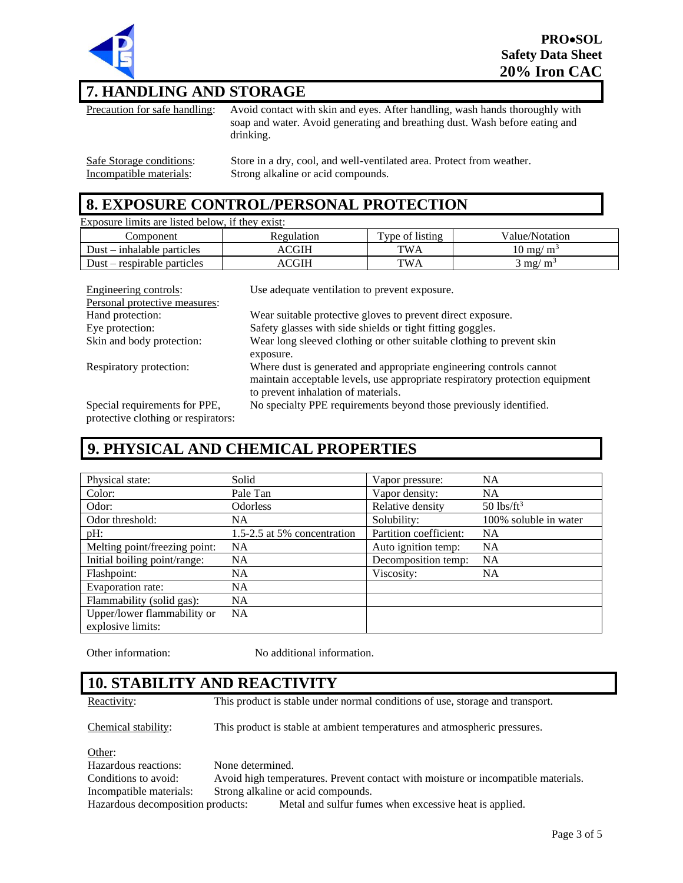

### **7. HANDLING AND STORAGE**

Precaution for safe handling: Avoid contact with skin and eyes. After handling, wash hands thoroughly with soap and water. Avoid generating and breathing dust. Wash before eating and drinking.

Safe Storage conditions: Store in a dry, cool, and well-ventilated area. Protect from weather. Incompatible materials: Strong alkaline or acid compounds.

#### **8. EXPOSURE CONTROL/PERSONAL PROTECTION**

| Exposure limits are listed below, if they exist: |            |                 |                     |
|--------------------------------------------------|------------|-----------------|---------------------|
| Component                                        | Regulation | Type of listing | Value/Notation      |
| $Dust - inhalable particles$                     | ACGIH      | <b>TWA</b>      | $10 \text{ mg/m}^3$ |
| $Dust$ – respirable particles                    | ACGIH      | TWA             | $3 \text{ mg/m}^3$  |
|                                                  |            |                 |                     |

| Engineering controls:         | Use adequate ventilation to prevent exposure.                                                                                                                                              |
|-------------------------------|--------------------------------------------------------------------------------------------------------------------------------------------------------------------------------------------|
| Personal protective measures: |                                                                                                                                                                                            |
| Hand protection:              | Wear suitable protective gloves to prevent direct exposure.                                                                                                                                |
| Eye protection:               | Safety glasses with side shields or tight fitting goggles.                                                                                                                                 |
| Skin and body protection:     | Wear long sleeved clothing or other suitable clothing to prevent skin                                                                                                                      |
|                               | exposure.                                                                                                                                                                                  |
| Respiratory protection:       | Where dust is generated and appropriate engineering controls cannot<br>maintain acceptable levels, use appropriate respiratory protection equipment<br>to prevent inhalation of materials. |
| Special requirements for PPE, | No specialty PPE requirements beyond those previously identified.                                                                                                                          |

protective clothing or respirators:

#### **9. PHYSICAL AND CHEMICAL PROPERTIES**

| Physical state:                                  | Solid                       | Vapor pressure:        | <b>NA</b>                |
|--------------------------------------------------|-----------------------------|------------------------|--------------------------|
| Color:                                           | Pale Tan                    | Vapor density:         | <b>NA</b>                |
| Odor:                                            | <b>Odorless</b>             | Relative density       | $50$ lbs/ft <sup>3</sup> |
| Odor threshold:                                  | <b>NA</b>                   | Solubility:            | 100% soluble in water    |
| $pH$ :                                           | 1.5-2.5 at 5% concentration | Partition coefficient: | <b>NA</b>                |
| Melting point/freezing point:                    | <b>NA</b>                   | Auto ignition temp:    | <b>NA</b>                |
| Initial boiling point/range:                     | <b>NA</b>                   | Decomposition temp:    | <b>NA</b>                |
| Flashpoint:                                      | <b>NA</b>                   | Viscosity:             | <b>NA</b>                |
| Evaporation rate:                                | <b>NA</b>                   |                        |                          |
| Flammability (solid gas):                        | <b>NA</b>                   |                        |                          |
| Upper/lower flammability or<br>explosive limits: | <b>NA</b>                   |                        |                          |

Other information: No additional information.

#### **10. STABILITY AND REACTIVITY**

Reactivity: This product is stable under normal conditions of use, storage and transport.

Chemical stability: This product is stable at ambient temperatures and atmospheric pressures.

Other:

Hazardous reactions: None determined. Conditions to avoid: Avoid high temperatures. Prevent contact with moisture or incompatible materials. Incompatible materials: Strong alkaline or acid compounds. Hazardous decomposition products: Metal and sulfur fumes when excessive heat is applied.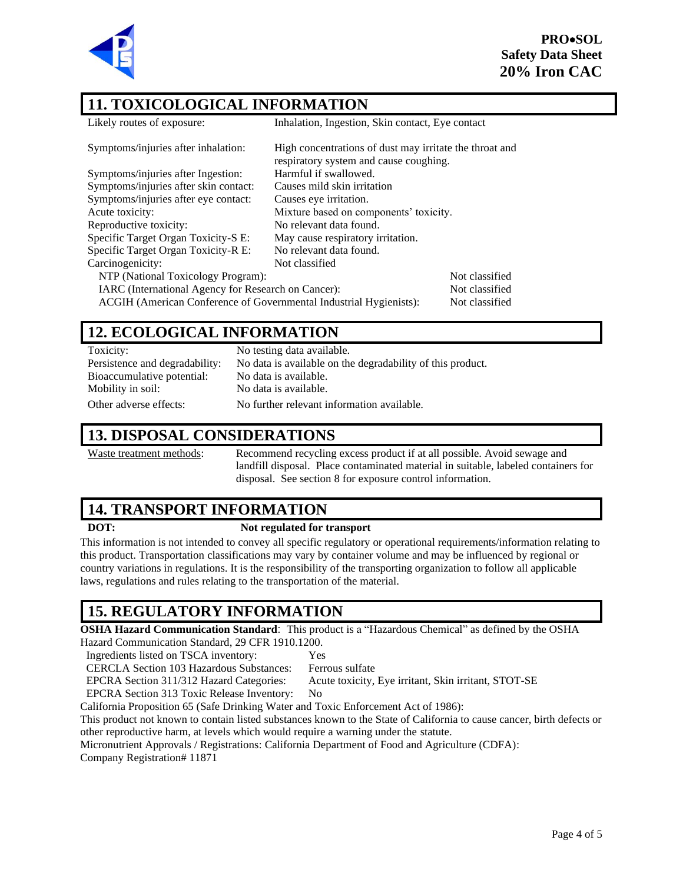**PRO**•**SOL Safety Data Sheet 20% Iron CAC**



#### **11. TOXICOLOGICAL INFORMATION**

| Likely routes of exposure:                                         | Inhalation, Ingestion, Skin contact, Eye contact                                                  |                |
|--------------------------------------------------------------------|---------------------------------------------------------------------------------------------------|----------------|
| Symptoms/injuries after inhalation:                                | High concentrations of dust may irritate the throat and<br>respiratory system and cause coughing. |                |
| Symptoms/injuries after Ingestion:                                 | Harmful if swallowed.                                                                             |                |
| Symptoms/injuries after skin contact:                              | Causes mild skin irritation                                                                       |                |
| Symptoms/injuries after eye contact:                               | Causes eye irritation.                                                                            |                |
| Acute toxicity:                                                    | Mixture based on components' toxicity.                                                            |                |
| Reproductive toxicity:                                             | No relevant data found.                                                                           |                |
| Specific Target Organ Toxicity-S E:                                | May cause respiratory irritation.                                                                 |                |
| Specific Target Organ Toxicity-R E:                                | No relevant data found.                                                                           |                |
| Carcinogenicity:                                                   | Not classified                                                                                    |                |
| NTP (National Toxicology Program):                                 |                                                                                                   | Not classified |
| IARC (International Agency for Research on Cancer):                |                                                                                                   | Not classified |
| ACGIH (American Conference of Governmental Industrial Hygienists): |                                                                                                   | Not classified |
|                                                                    |                                                                                                   |                |

#### **12. ECOLOGICAL INFORMATION**

| Toxicity:                      | No testing data available.                                 |
|--------------------------------|------------------------------------------------------------|
| Persistence and degradability: | No data is available on the degradability of this product. |
| Bioaccumulative potential:     | No data is available.                                      |
| Mobility in soil:              | No data is available.                                      |
| Other adverse effects:         | No further relevant information available.                 |

#### **13. DISPOSAL CONSIDERATIONS**

Waste treatment methods: Recommend recycling excess product if at all possible. Avoid sewage and landfill disposal. Place contaminated material in suitable, labeled containers for disposal. See section 8 for exposure control information.

#### **14. TRANSPORT INFORMATION**

#### **DOT: Not regulated for transport**

This information is not intended to convey all specific regulatory or operational requirements/information relating to this product. Transportation classifications may vary by container volume and may be influenced by regional or country variations in regulations. It is the responsibility of the transporting organization to follow all applicable laws, regulations and rules relating to the transportation of the material.

### **15. REGULATORY INFORMATION**

**OSHA Hazard Communication Standard**: This product is a "Hazardous Chemical" as defined by the OSHA

Hazard Communication Standard, 29 CFR 1910.1200.

Ingredients listed on TSCA inventory: Yes

CERCLA Section 103 Hazardous Substances: Ferrous sulfate

EPCRA Section 311/312 Hazard Categories: Acute toxicity, Eye irritant, Skin irritant, STOT-SE

EPCRA Section 313 Toxic Release Inventory: No

California Proposition 65 (Safe Drinking Water and Toxic Enforcement Act of 1986):

This product not known to contain listed substances known to the State of California to cause cancer, birth defects or other reproductive harm, at levels which would require a warning under the statute.

Micronutrient Approvals / Registrations: California Department of Food and Agriculture (CDFA):

Company Registration# 11871